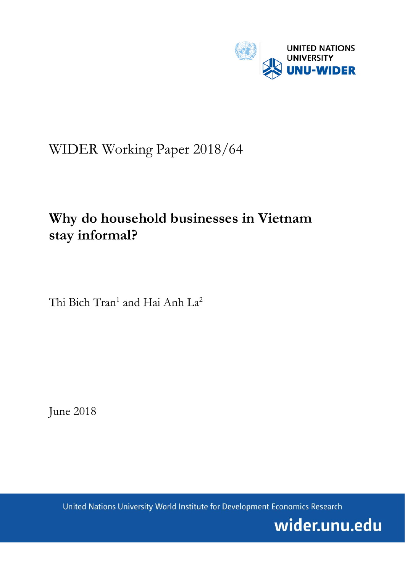

# WIDER Working Paper 2018/64

# **Why do household businesses in Vietnam stay informal?**

Thi Bich Tran<sup>1</sup> and Hai Anh La<sup>2</sup>

June 2018

United Nations University World Institute for Development Economics Research

wider.unu.edu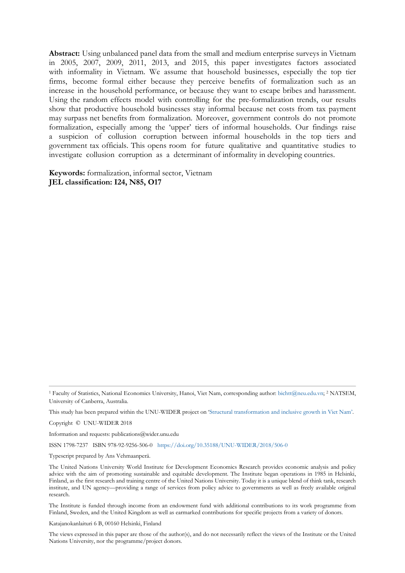**Abstract:** Using unbalanced panel data from the small and medium enterprise surveys in Vietnam in 2005, 2007, 2009, 2011, 2013, and 2015, this paper investigates factors associated with informality in Vietnam. We assume that household businesses, especially the top tier firms, become formal either because they perceive benefits of formalization such as an increase in the household performance, or because they want to escape bribes and harassment. Using the random effects model with controlling for the pre-formalization trends, our results show that productive household businesses stay informal because net costs from tax payment may surpass net benefits from formalization. Moreover, government controls do not promote formalization, especially among the 'upper' tiers of informal households. Our findings raise a suspicion of collusion corruption between informal households in the top tiers and government tax officials. This opens room for future qualitative and quantitative studies to investigate collusion corruption as a determinant of informality in developing countries.

**Keywords:** formalization, informal sector, Vietnam **JEL classification: I24, N85, O17**

This study has been prepared within the UNU-WIDER project on 'Structural transformation [and inclusive growth in Viet Nam'.](https://www.wider.unu.edu/node/372) 

Copyright © UNU-WIDER 2018

Information and requests: publications@wider.unu.edu

ISSN 1798-7237 ISBN 978-92-9256-506-0 <https://doi.org/10.35188/UNU-WIDER/2018/506-0>

Typescript prepared by Ans Vehmaanperä.

The United Nations University World Institute for Development Economics Research provides economic analysis and policy advice with the aim of promoting sustainable and equitable development. The Institute began operations in 1985 in Helsinki, Finland, as the first research and training centre of the United Nations University. Today it is a unique blend of think tank, research institute, and UN agency—providing a range of services from policy advice to governments as well as freely available original research.

The Institute is funded through income from an endowment fund with additional contributions to its work programme from Finland, Sweden, and the United Kingdom as well as earmarked contributions for specific projects from a variety of donors.

Katajanokanlaituri 6 B, 00160 Helsinki, Finland

The views expressed in this paper are those of the author(s), and do not necessarily reflect the views of the Institute or the United Nations University, nor the programme/project donors.

<sup>1</sup> Faculty of Statistics, National Economics University, Hanoi, Viet Nam, corresponding author: [bichtt@neu.edu.vn;](mailto:bichtt@neu.edu.vn) <sup>2</sup> NATSEM, University of Canberra, Australia.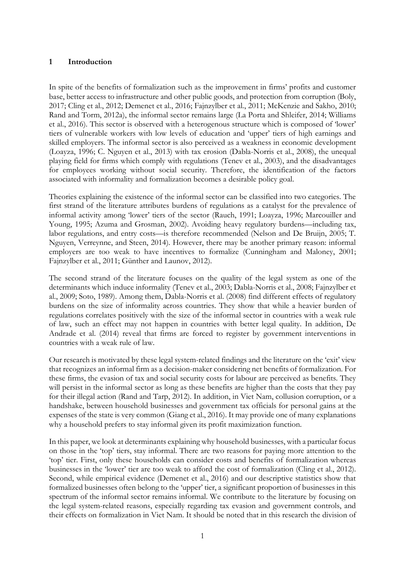### **1 Introduction**

In spite of the benefits of formalization such as the improvement in firms' profits and customer base, better access to infrastructure and other public goods, and protection from corruption (Boly, 2017; Cling et al., 2012; Demenet et al., 2016; Fajnzylber et al., 2011; McKenzie and Sakho, 2010; Rand and Torm, 2012a), the informal sector remains large (La Porta and Shleifer, 2014; Williams et al., 2016). This sector is observed with a heterogenous structure which is composed of 'lower' tiers of vulnerable workers with low levels of education and 'upper' tiers of high earnings and skilled employers. The informal sector is also perceived as a weakness in economic development (Loayza, 1996; C. Nguyen et al., 2013) with tax erosion (Dabla-Norris et al., 2008), the unequal playing field for firms which comply with regulations (Tenev et al., 2003), and the disadvantages for employees working without social security. Therefore, the identification of the factors associated with informality and formalization becomes a desirable policy goal.

Theories explaining the existence of the informal sector can be classified into two categories. The first strand of the literature attributes burdens of regulations as a catalyst for the prevalence of informal activity among 'lower' tiers of the sector (Rauch, 1991; Loayza, 1996; Marcouiller and Young, 1995; Azuma and Grosman, 2002). Avoiding heavy regulatory burdens—including tax, labor regulations, and entry costs—is therefore recommended (Nelson and De Bruijn, 2005; T. Nguyen, Verreynne, and Steen, 2014). However, there may be another primary reason: informal employers are too weak to have incentives to formalize (Cunningham and Maloney, 2001; Fajnzylber et al., 2011; Günther and Launov, 2012).

The second strand of the literature focuses on the quality of the legal system as one of the determinants which induce informality (Tenev et al., 2003; Dabla-Norris et al., 2008; Fajnzylber et al., 2009; Soto, 1989). Among them, Dabla-Norris et al. (2008) find different effects of regulatory burdens on the size of informality across countries. They show that while a heavier burden of regulations correlates positively with the size of the informal sector in countries with a weak rule of law, such an effect may not happen in countries with better legal quality. In addition, De Andrade et al. (2014) reveal that firms are forced to register by government interventions in countries with a weak rule of law.

Our research is motivated by these legal system-related findings and the literature on the 'exit' view that recognizes an informal firm as a decision-maker considering net benefits of formalization. For these firms, the evasion of tax and social security costs for labour are perceived as benefits. They will persist in the informal sector as long as these benefits are higher than the costs that they pay for their illegal action (Rand and Tarp, 2012). In addition, in Viet Nam, collusion corruption, or a handshake, between household businesses and government tax officials for personal gains at the expenses of the state is very common (Giang et al., 2016). It may provide one of many explanations why a household prefers to stay informal given its profit maximization function.

In this paper, we look at determinants explaining why household businesses, with a particular focus on those in the 'top' tiers, stay informal. There are two reasons for paying more attention to the 'top' tier. First, only these households can consider costs and benefits of formalization whereas businesses in the 'lower' tier are too weak to afford the cost of formalization (Cling et al., 2012). Second, while empirical evidence (Demenet et al., 2016) and our descriptive statistics show that formalized businesses often belong to the 'upper' tier, a significant proportion of businesses in this spectrum of the informal sector remains informal. We contribute to the literature by focusing on the legal system-related reasons, especially regarding tax evasion and government controls, and their effects on formalization in Viet Nam. It should be noted that in this research the division of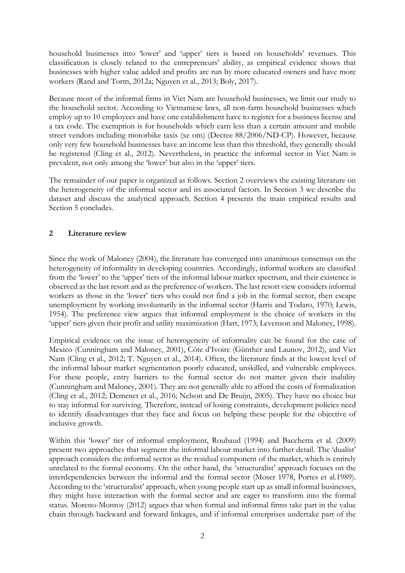household businesses into 'lower' and 'upper' tiers is based on households' revenues. This classification is closely related to the entrepreneurs' ability, as empirical evidence shows that businesses with higher value added and profits are run by more educated owners and have more workers (Rand and Torm, 2012a; Nguyen et al., 2013; Boly, 2017).

Because most of the informal firms in Viet Nam are household businesses, we limit our study to the household sector. According to Vietnamese laws, all non-farm household businesses which employ up to 10 employees and have one establishment have to register for a business license and a tax code. The exemption is for households which earn less than a certain amount and mobile street vendors including motorbike taxis (xe om) (Decree 88/2006/ND-CP). However, because only very few household businesses have an income less than this threshold, they generally should be registered (Cling et al., 2012). Nevertheless, in practice the informal sector in Viet Nam is prevalent, not only among the 'lower' but also in the 'upper' tiers.

The remainder of our paper is organized as follows. Section 2 overviews the existing literature on the heterogeneity of the informal sector and its associated factors. In Section 3 we describe the dataset and discuss the analytical approach. Section 4 presents the main empirical results and Section 5 concludes.

# **2 Literature review**

Since the work of Maloney (2004), the literature has converged into unanimous consensus on the heterogeneity of informality in developing countries. Accordingly, informal workers are classified from the 'lower' to the 'upper' tiers of the informal labour market spectrum, and their existence is observed as the last resort and as the preference of workers. The last resort view considers informal workers as those in the 'lower' tiers who could not find a job in the formal sector, then escape unemployment by working involuntarily in the informal sector (Harris and Todaro, 1970; Lewis, 1954). The preference view argues that informal employment is the choice of workers in the 'upper' tiers given their profit and utility maximization (Hart, 1973; Levenson and Maloney, 1998).

Empirical evidence on the issue of heterogeneity of informality can be found for the case of Mexico (Cunningham and Maloney, 2001), Côte d'Ivoire (Günther and Launov, 2012), and Viet Nam (Cling et al., 2012; T. Nguyen et al., 2014). Often, the literature finds at the lowest level of the informal labour market segmentation poorly educated, unskilled, and vulnerable employees. For these people, entry barriers to the formal sector do not matter given their inability (Cunningham and Maloney, 2001). They are not generally able to afford the costs of formalization (Cling et al., 2012; Demenet et al., 2016; Nelson and De Bruijn, 2005). They have no choice but to stay informal for surviving. Therefore, instead of losing constraints, development policies need to identify disadvantages that they face and focus on helping these people for the objective of inclusive growth.

Within this 'lower' tier of informal employment, Roubaud (1994) and Bacchetta et al. (2009) present two approaches that segment the informal labour market into further detail. The 'dualist' approach considers the informal sector as the residual component of the market, which is entirely unrelated to the formal economy. On the other hand, the 'structuralist' approach focuses on the interdependencies between the informal and the formal sector (Moser 1978, Portes et al.1989). According to the 'structuralist' approach, when young people start up as small informal businesses, they might have interaction with the formal sector and are eager to transform into the formal status. Moreno-Monroy (2012) argues that when formal and informal firms take part in the value chain through backward and forward linkages, and if informal enterprises undertake part of the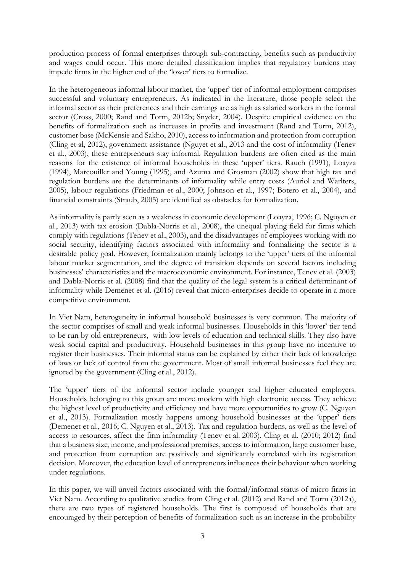production process of formal enterprises through sub-contracting, benefits such as productivity and wages could occur. This more detailed classification implies that regulatory burdens may impede firms in the higher end of the 'lower' tiers to formalize.

In the heterogeneous informal labour market, the 'upper' tier of informal employment comprises successful and voluntary entrepreneurs. As indicated in the literature, those people select the informal sector as their preferences and their earnings are as high as salaried workers in the formal sector (Cross, 2000; Rand and Torm, 2012b; Snyder, 2004). Despite empirical evidence on the benefits of formalization such as increases in profits and investment (Rand and Torm, 2012), customer base (McKensie and Sakho, 2010), access to information and protection from corruption (Cling et al, 2012), government assistance (Nguyet et al., 2013 and the cost of informality (Tenev et al., 2003), these entrepreneurs stay informal. Regulation burdens are often cited as the main reasons for the existence of informal households in these 'upper' tiers. Rauch (1991), Loayza (1994), Marcouiller and Young (1995), and Azuma and Grosman (2002) show that high tax and regulation burdens are the determinants of informality while entry costs (Auriol and Warlters, 2005), labour regulations (Friedman et al., 2000; Johnson et al., 1997; Botero et al., 2004), and financial constraints (Straub, 2005) are identified as obstacles for formalization.

As informality is partly seen as a weakness in economic development (Loayza, 1996; C. Nguyen et al., 2013) with tax erosion (Dabla-Norris et al., 2008), the unequal playing field for firms which comply with regulations (Tenev et al., 2003), and the disadvantages of employees working with no social security, identifying factors associated with informality and formalizing the sector is a desirable policy goal. However, formalization mainly belongs to the 'upper' tiers of the informal labour market segmentation, and the degree of transition depends on several factors including businesses' characteristics and the macroeconomic environment. For instance, Tenev et al. (2003) and Dabla-Norris et al. (2008) find that the quality of the legal system is a critical determinant of informality while Demenet et al. (2016) reveal that micro-enterprises decide to operate in a more competitive environment.

In Viet Nam, heterogeneity in informal household businesses is very common. The majority of the sector comprises of small and weak informal businesses. Households in this 'lower' tier tend to be run by old entrepreneurs, with low levels of education and technical skills. They also have weak social capital and productivity. Household businesses in this group have no incentive to register their businesses. Their informal status can be explained by either their lack of knowledge of laws or lack of control from the government. Most of small informal businesses feel they are ignored by the government (Cling et al., 2012).

The 'upper' tiers of the informal sector include younger and higher educated employers. Households belonging to this group are more modern with high electronic access. They achieve the highest level of productivity and efficiency and have more opportunities to grow (C. Nguyen et al., 2013). Formalization mostly happens among household businesses at the 'upper' tiers (Demenet et al., 2016; C. Nguyen et al., 2013). Tax and regulation burdens, as well as the level of access to resources, affect the firm informality (Tenev et al. 2003). Cling et al. (2010; 2012) find that a business size, income, and professional premises, access to information, large customer base, and protection from corruption are positively and significantly correlated with its registration decision. Moreover, the education level of entrepreneurs influences their behaviour when working under regulations.

In this paper, we will unveil factors associated with the formal/informal status of micro firms in Viet Nam. According to qualitative studies from Cling et al. (2012) and Rand and Torm (2012a), there are two types of registered households. The first is composed of households that are encouraged by their perception of benefits of formalization such as an increase in the probability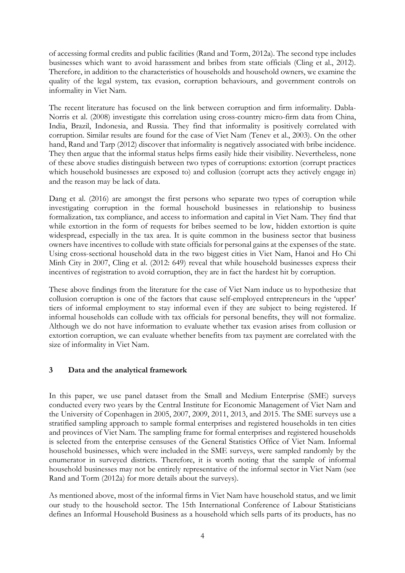of accessing formal credits and public facilities (Rand and Torm, 2012a). The second type includes businesses which want to avoid harassment and bribes from state officials (Cling et al., 2012). Therefore, in addition to the characteristics of households and household owners, we examine the quality of the legal system, tax evasion, corruption behaviours, and government controls on informality in Viet Nam.

The recent literature has focused on the link between corruption and firm informality. Dabla-Norris et al. (2008) investigate this correlation using cross-country micro-firm data from China, India, Brazil, Indonesia, and Russia. They find that informality is positively correlated with corruption. Similar results are found for the case of Viet Nam (Tenev et al., 2003). On the other hand, Rand and Tarp (2012) discover that informality is negatively associated with bribe incidence. They then argue that the informal status helps firms easily hide their visibility. Nevertheless, none of these above studies distinguish between two types of corruptions: extortion (corrupt practices which household businesses are exposed to) and collusion (corrupt acts they actively engage in) and the reason may be lack of data.

Dang et al. (2016) are amongst the first persons who separate two types of corruption while investigating corruption in the formal household businesses in relationship to business formalization, tax compliance, and access to information and capital in Viet Nam. They find that while extortion in the form of requests for bribes seemed to be low, hidden extortion is quite widespread, especially in the tax area. It is quite common in the business sector that business owners have incentives to collude with state officials for personal gains at the expenses of the state. Using cross-sectional household data in the two biggest cities in Viet Nam, Hanoi and Ho Chi Minh City in 2007, Cling et al. (2012: 649) reveal that while household businesses express their incentives of registration to avoid corruption, they are in fact the hardest hit by corruption.

These above findings from the literature for the case of Viet Nam induce us to hypothesize that collusion corruption is one of the factors that cause self-employed entrepreneurs in the 'upper' tiers of informal employment to stay informal even if they are subject to being registered. If informal households can collude with tax officials for personal benefits, they will not formalize. Although we do not have information to evaluate whether tax evasion arises from collusion or extortion corruption, we can evaluate whether benefits from tax payment are correlated with the size of informality in Viet Nam.

## **3 Data and the analytical framework**

In this paper, we use panel dataset from the Small and Medium Enterprise (SME) surveys conducted every two years by the Central Institute for Economic Management of Viet Nam and the University of Copenhagen in 2005, 2007, 2009, 2011, 2013, and 2015. The SME surveys use a stratified sampling approach to sample formal enterprises and registered households in ten cities and provinces of Viet Nam. The sampling frame for formal enterprises and registered households is selected from the enterprise censuses of the General Statistics Office of Viet Nam. Informal household businesses, which were included in the SME surveys, were sampled randomly by the enumerator in surveyed districts. Therefore, it is worth noting that the sample of informal household businesses may not be entirely representative of the informal sector in Viet Nam (see Rand and Torm (2012a) for more details about the surveys).

As mentioned above, most of the informal firms in Viet Nam have household status, and we limit our study to the household sector. The 15th International Conference of Labour Statisticians defines an Informal Household Business as a household which sells parts of its products, has no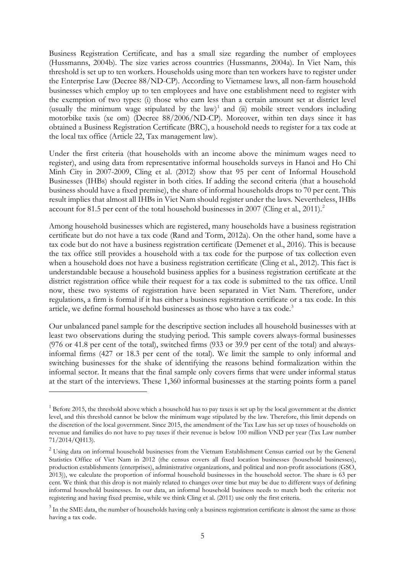Business Registration Certificate, and has a small size regarding the number of employees (Hussmanns, 2004b). The size varies across countries (Hussmanns, 2004a). In Viet Nam, this threshold is set up to ten workers. Households using more than ten workers have to register under the Enterprise Law (Decree 88/ND-CP). According to Vietnamese laws, all non-farm household businesses which employ up to ten employees and have one establishment need to register with the exemption of two types: (i) those who earn less than a certain amount set at district level (usually the minimum wage stipulated by the law)<sup>[1](#page-6-0)</sup> and (ii) mobile street vendors including motorbike taxis (xe om) (Decree 88/2006/ND-CP). Moreover, within ten days since it has obtained a Business Registration Certificate (BRC), a household needs to register for a tax code at the local tax office (Article 22, Tax management law).

Under the first criteria (that households with an income above the minimum wages need to register), and using data from representative informal households surveys in Hanoi and Ho Chi Minh City in 2007-2009, Cling et al. (2012) show that 95 per cent of Informal Household Businesses (IHBs) should register in both cities. If adding the second criteria (that a household business should have a fixed premise), the share of informal households drops to 70 per cent. This result implies that almost all IHBs in Viet Nam should register under the laws. Nevertheless, IHBs account for 81.5 per cent of the total household businesses in [2](#page-6-1)007 (Cling et al., 2011).<sup>2</sup>

Among household businesses which are registered, many households have a business registration certificate but do not have a tax code (Rand and Torm, 2012a). On the other hand, some have a tax code but do not have a business registration certificate (Demenet et al., 2016). This is because the tax office still provides a household with a tax code for the purpose of tax collection even when a household does not have a business registration certificate (Cling et al., 2012). This fact is understandable because a household business applies for a business registration certificate at the district registration office while their request for a tax code is submitted to the tax office. Until now, these two systems of registration have been separated in Viet Nam. Therefore, under regulations, a firm is formal if it has either a business registration certificate or a tax code. In this article, we define formal household businesses as those who have a tax code.<sup>[3](#page-6-2)</sup>

Our unbalanced panel sample for the descriptive section includes all household businesses with at least two observations during the studying period. This sample covers always-formal businesses (976 or 41.8 per cent of the total), switched firms (933 or 39.9 per cent of the total) and alwaysinformal firms (427 or 18.3 per cent of the total). We limit the sample to only informal and switching businesses for the shake of identifying the reasons behind formalization within the informal sector. It means that the final sample only covers firms that were under informal status at the start of the interviews. These 1,360 informal businesses at the starting points form a panel

-

<span id="page-6-0"></span> $1$  Before 2015, the threshold above which a household has to pay taxes is set up by the local government at the district level, and this threshold cannot be below the minimum wage stipulated by the law. Therefore, this limit depends on the discretion of the local government. Since 2015, the amendment of the Tax Law has set up taxes of households on revenue and families do not have to pay taxes if their revenue is below 100 million VND per year (Tax Law number 71/2014/QH13).

<span id="page-6-1"></span><sup>&</sup>lt;sup>2</sup> Using data on informal household businesses from the Vietnam Establishment Census carried out by the General Statistics Office of Viet Nam in 2012 (the census covers all fixed location businesses (household businesses), production establishments (enterprises), administrative organizations, and political and non-profit associations (GSO, 2013)), we calculate the proportion of informal household businesses in the household sector. The share is 63 per cent. We think that this drop is not mainly related to changes over time but may be due to different ways of defining informal household businesses. In our data, an informal household business needs to match both the criteria: not registering and having fixed premise, while we think Cling et al. (2011) use only the first criteria.

<span id="page-6-2"></span><sup>&</sup>lt;sup>3</sup> In the SME data, the number of households having only a business registration certificate is almost the same as those having a tax code.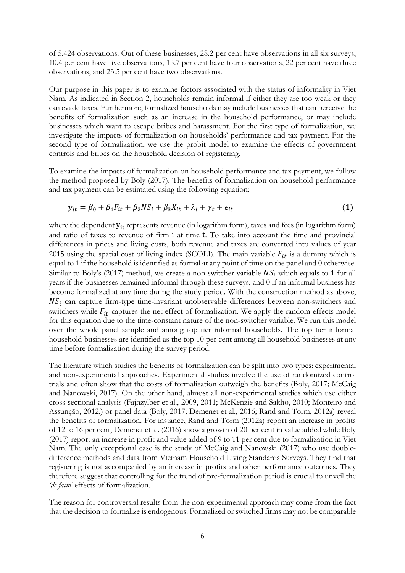of 5,424 observations. Out of these businesses, 28.2 per cent have observations in all six surveys, 10.4 per cent have five observations, 15.7 per cent have four observations, 22 per cent have three observations, and 23.5 per cent have two observations.

Our purpose in this paper is to examine factors associated with the status of informality in Viet Nam. As indicated in Section 2, households remain informal if either they are too weak or they can evade taxes. Furthermore, formalized households may include businesses that can perceive the benefits of formalization such as an increase in the household performance, or may include businesses which want to escape bribes and harassment. For the first type of formalization, we investigate the impacts of formalization on households' performance and tax payment. For the second type of formalization, we use the probit model to examine the effects of government controls and bribes on the household decision of registering.

To examine the impacts of formalization on household performance and tax payment, we follow the method proposed by Boly (2017). The benefits of formalization on household performance and tax payment can be estimated using the following equation:

$$
y_{it} = \beta_0 + \beta_1 F_{it} + \beta_2 N S_i + \beta_3 X_{it} + \lambda_i + \gamma_t + \epsilon_{it}
$$
\n<sup>(1)</sup>

where the dependent  $y_{it}$  represents revenue (in logarithm form), taxes and fees (in logarithm form) and ratio of taxes to revenue of firm i at time t. To take into account the time and provincial differences in prices and living costs, both revenue and taxes are converted into values of year 2015 using the spatial cost of living index (SCOLI). The main variable  $F_{it}$  is a dummy which is equal to 1 if the household is identified as formal at any point of time on the panel and 0 otherwise. Similar to Boly's (2017) method, we create a non-switcher variable  $NS<sub>i</sub>$  which equals to 1 for all years if the businesses remained informal through these surveys, and 0 if an informal business has become formalized at any time during the study period. With the construction method as above,  $NS<sub>i</sub>$  can capture firm-type time-invariant unobservable differences between non-switchers and switchers while  $F_{it}$  captures the net effect of formalization. We apply the random effects model for this equation due to the time-constant nature of the non-switcher variable. We run this model over the whole panel sample and among top tier informal households. The top tier informal household businesses are identified as the top 10 per cent among all household businesses at any time before formalization during the survey period.

The literature which studies the benefits of formalization can be split into two types: experimental and non-experimental approaches. Experimental studies involve the use of randomized control trials and often show that the costs of formalization outweigh the benefits (Boly, 2017; McCaig and Nanowski, 2017). On the other hand, almost all non-experimental studies which use either cross-sectional analysis (Fajnzylber et al., 2009, 2011; McKenzie and Sakho, 2010; Monteiro and Assunção, 2012,) or panel data (Boly, 2017; Demenet et al., 2016; Rand and Torm, 2012a) reveal the benefits of formalization. For instance, Rand and Torm (2012a) report an increase in profits of 12 to 16 per cent, Demenet et al. (2016) show a growth of 20 per cent in value added while Boly (2017) report an increase in profit and value added of 9 to 11 per cent due to formalization in Viet Nam. The only exceptional case is the study of McCaig and Nanowski (2017) who use doubledifference methods and data from Vietnam Household Living Standards Surveys. They find that registering is not accompanied by an increase in profits and other performance outcomes. They therefore suggest that controlling for the trend of pre-formalization period is crucial to unveil the *'de facto'* effects of formalization.

The reason for controversial results from the non-experimental approach may come from the fact that the decision to formalize is endogenous. Formalized or switched firms may not be comparable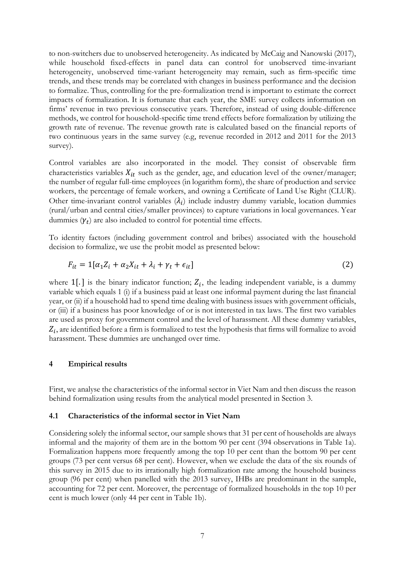to non-switchers due to unobserved heterogeneity. As indicated by McCaig and Nanowski (2017), while household fixed-effects in panel data can control for unobserved time-invariant heterogeneity, unobserved time-variant heterogeneity may remain, such as firm-specific time trends, and these trends may be correlated with changes in business performance and the decision to formalize. Thus, controlling for the pre-formalization trend is important to estimate the correct impacts of formalization. It is fortunate that each year, the SME survey collects information on firms' revenue in two previous consecutive years. Therefore, instead of using double-difference methods, we control for household-specific time trend effects before formalization by utilizing the growth rate of revenue. The revenue growth rate is calculated based on the financial reports of two continuous years in the same survey (e.g, revenue recorded in 2012 and 2011 for the 2013 survey).

Control variables are also incorporated in the model. They consist of observable firm characteristics variables  $X_{it}$  such as the gender, age, and education level of the owner/manager; the number of regular full-time employees (in logarithm form), the share of production and service workers, the percentage of female workers, and owning a Certificate of Land Use Right (CLUR). Other time-invariant control variables  $(\lambda_i)$  include industry dummy variable, location dummies (rural/urban and central cities/smaller provinces) to capture variations in local governances. Year dummies  $(\gamma_t)$  are also included to control for potential time effects.

To identity factors (including government control and bribes) associated with the household decision to formalize, we use the probit model as presented below:

$$
F_{it} = 1[\alpha_1 Z_i + \alpha_2 X_{it} + \lambda_i + \gamma_t + \epsilon_{it}]
$$
\n(2)

where  $1$ [.] is the binary indicator function;  $Z_i$ , the leading independent variable, is a dummy variable which equals 1 (i) if a business paid at least one informal payment during the last financial year, or (ii) if a household had to spend time dealing with business issues with government officials, or (iii) if a business has poor knowledge of or is not interested in tax laws. The first two variables are used as proxy for government control and the level of harassment. All these dummy variables,  $Z_i$ , are identified before a firm is formalized to test the hypothesis that firms will formalize to avoid harassment. These dummies are unchanged over time.

#### **4 Empirical results**

First, we analyse the characteristics of the informal sector in Viet Nam and then discuss the reason behind formalization using results from the analytical model presented in Section 3.

#### **4.1 Characteristics of the informal sector in Viet Nam**

Considering solely the informal sector, our sample shows that 31 per cent of households are always informal and the majority of them are in the bottom 90 per cent (394 observations in Table 1a). Formalization happens more frequently among the top 10 per cent than the bottom 90 per cent groups (73 per cent versus 68 per cent). However, when we exclude the data of the six rounds of this survey in 2015 due to its irrationally high formalization rate among the household business group (96 per cent) when panelled with the 2013 survey, IHBs are predominant in the sample, accounting for 72 per cent. Moreover, the percentage of formalized households in the top 10 per cent is much lower (only 44 per cent in Table 1b).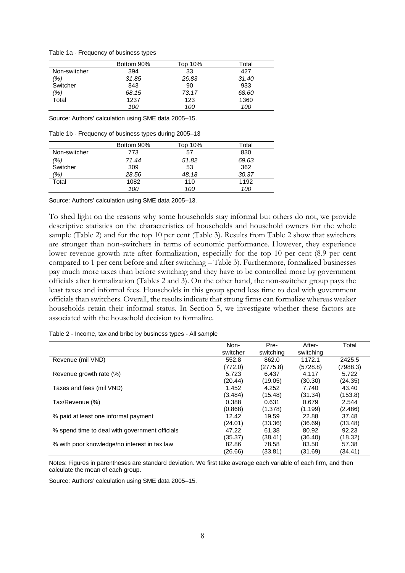Table 1a - Frequency of business types

|              | Bottom 90% | Top 10% | Total |
|--------------|------------|---------|-------|
| Non-switcher | 394        | 33      | 427   |
| (%)          | 31.85      | 26.83   | 31.40 |
| Switcher     | 843        | 90      | 933   |
| (%)          | 68.15      | 73.17   | 68.60 |
| Total        | 1237       | 123     | 1360  |
|              | 100        | 100     | 100   |

Source: Authors' calculation using SME data 2005–15.

Table 1b - Frequency of business types during 2005–13

|               | Bottom 90% | Top 10% | Total |
|---------------|------------|---------|-------|
| Non-switcher  | 773        | 57      | 830   |
| (%)           | 71.44      | 51.82   | 69.63 |
| Switcher      | 309        | 53      | 362   |
| $\frac{1}{6}$ | 28.56      | 48.18   | 30.37 |
| Total         | 1082       | 110     | 1192  |
|               | 100        | 100     | 100   |

Source: Authors' calculation using SME data 2005–13.

To shed light on the reasons why some households stay informal but others do not, we provide descriptive statistics on the characteristics of households and household owners for the whole sample (Table 2) and for the top 10 per cent (Table 3). Results from Table 2 show that switchers are stronger than non-switchers in terms of economic performance. However, they experience lower revenue growth rate after formalization, especially for the top 10 per cent (8.9 per cent compared to 1 per cent before and after switching – Table 3). Furthermore, formalized businesses pay much more taxes than before switching and they have to be controlled more by government officials after formalization (Tables 2 and 3). On the other hand, the non-switcher group pays the least taxes and informal fees. Households in this group spend less time to deal with government officials than switchers. Overall, the results indicate that strong firms can formalize whereas weaker households retain their informal status. In Section 5, we investigate whether these factors are associated with the household decision to formalize.

|                                                | Non-     | Pre-      | After-    | Total    |
|------------------------------------------------|----------|-----------|-----------|----------|
|                                                | switcher | switching | switching |          |
| Revenue (mil VND)                              | 552.8    | 862.0     | 1172.1    | 2425.5   |
|                                                | (772.0)  | (2775.8)  | (5728.8)  | (7988.3) |
| Revenue growth rate (%)                        | 5.723    | 6.437     | 4.117     | 5.722    |
|                                                | (20.44)  | (19.05)   | (30.30)   | (24.35)  |
| Taxes and fees (mil VND)                       | 1.452    | 4.252     | 7.740     | 43.40    |
|                                                | (3.484)  | (15.48)   | (31.34)   | (153.8)  |
| Tax/Revenue (%)                                | 0.388    | 0.631     | 0.679     | 2.544    |
|                                                | (0.868)  | (1.378)   | (1.199)   | (2.486)  |
| % paid at least one informal payment           | 12.42    | 19.59     | 22.88     | 37.48    |
|                                                | (24.01)  | (33.36)   | (36.69)   | (33.48)  |
| % spend time to deal with government officials | 47.22    | 61.38     | 80.92     | 92.23    |
|                                                | (35.37)  | (38.41)   | (36.40)   | (18.32)  |
| % with poor knowledge/no interest in tax law   | 82.86    | 78.58     | 83.50     | 57.38    |
|                                                | (26.66)  | (33.81)   | (31.69)   | (34.41)  |

Table 2 - Income, tax and bribe by business types - All sample

Notes: Figures in parentheses are standard deviation. We first take average each variable of each firm, and then calculate the mean of each group.

Source: Authors' calculation using SME data 2005–15.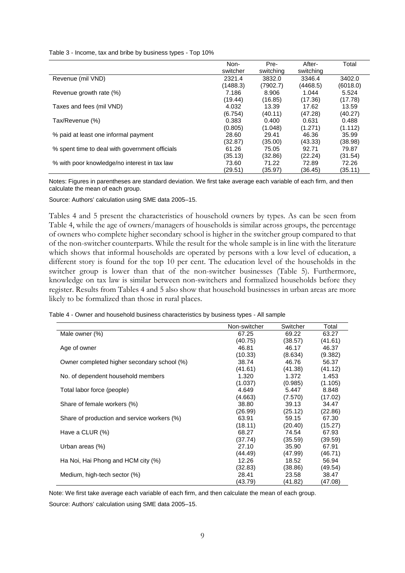Table 3 - Income, tax and bribe by business types - Top 10%

|                                                | Non-     | Pre-      | After-    | Total    |
|------------------------------------------------|----------|-----------|-----------|----------|
|                                                | switcher | switching | switching |          |
| Revenue (mil VND)                              | 2321.4   | 3832.0    | 3346.4    | 3402.0   |
|                                                | (1488.3) | (7902.7)  | (4468.5)  | (6018.0) |
| Revenue growth rate (%)                        | 7.186    | 8.906     | 1.044     | 5.524    |
|                                                | (19.44)  | (16.85)   | (17.36)   | (17.78)  |
| Taxes and fees (mil VND)                       | 4.032    | 13.39     | 17.62     | 13.59    |
|                                                | (6.754)  | (40.11)   | (47.28)   | (40.27)  |
| Tax/Revenue (%)                                | 0.383    | 0.400     | 0.631     | 0.488    |
|                                                | (0.805)  | (1.048)   | (1.271)   | (1.112)  |
| % paid at least one informal payment           | 28.60    | 29.41     | 46.36     | 35.99    |
|                                                | (32.87)  | (35.00)   | (43.33)   | (38.98)  |
| % spent time to deal with government officials | 61.26    | 75.05     | 92.71     | 79.87    |
|                                                | (35.13)  | (32.86)   | (22.24)   | (31.54)  |
| % with poor knowledge/no interest in tax law   | 73.60    | 71.22     | 72.89     | 72.26    |
|                                                | (29.51)  | (35.97)   | (36.45)   | (35.11)  |

Notes: Figures in parentheses are standard deviation. We first take average each variable of each firm, and then calculate the mean of each group.

Source: Authors' calculation using SME data 2005–15.

Tables 4 and 5 present the characteristics of household owners by types. As can be seen from Table 4, while the age of owners/managers of households is similar across groups, the percentage of owners who complete higher secondary school is higher in the switcher group compared to that of the non-switcher counterparts. While the result for the whole sample is in line with the literature which shows that informal households are operated by persons with a low level of education, a different story is found for the top 10 per cent. The education level of the households in the switcher group is lower than that of the non-switcher businesses (Table 5). Furthermore, knowledge on tax law is similar between non-switchers and formalized households before they register. Results from Tables 4 and 5 also show that household businesses in urban areas are more likely to be formalized than those in rural places.

Table 4 - Owner and household business characteristics by business types - All sample

|                                             | Non-switcher | Switcher | Total   |
|---------------------------------------------|--------------|----------|---------|
| Male owner (%)                              | 67.25        | 69.22    | 63.27   |
|                                             | (40.75)      | (38.57)  | (41.61) |
| Age of owner                                | 46.81        | 46.17    | 46.37   |
|                                             | (10.33)      | (8.634)  | (9.382) |
| Owner completed higher secondary school (%) | 38.74        | 46.76    | 56.37   |
|                                             | (41.61)      | (41.38)  | (41.12) |
| No. of dependent household members          | 1.320        | 1.372    | 1.453   |
|                                             | (1.037)      | (0.985)  | (1.105) |
| Total labor force (people)                  | 4.649        | 5.447    | 8.848   |
|                                             | (4.663)      | (7.570)  | (17.02) |
| Share of female workers (%)                 | 38.80        | 39.13    | 34.47   |
|                                             | (26.99)      | (25.12)  | (22.86) |
| Share of production and service workers (%) | 63.91        | 59.15    | 67.30   |
|                                             | (18.11)      | (20.40)  | (15.27) |
| Have a CLUR (%)                             | 68.27        | 74.54    | 67.93   |
|                                             | (37.74)      | (35.59)  | (39.59) |
| Urban areas (%)                             | 27.10        | 35.90    | 67.91   |
|                                             | (44.49)      | (47.99)  | (46.71) |
| Ha Noi, Hai Phong and HCM city (%)          | 12.26        | 18.52    | 56.94   |
|                                             | (32.83)      | (38.86)  | (49.54) |
| Medium, high-tech sector (%)                | 28.41        | 23.58    | 38.47   |
|                                             | (43.79)      | (41.82)  | (47.08) |

Note: We first take average each variable of each firm, and then calculate the mean of each group.

Source: Authors' calculation using SME data 2005–15.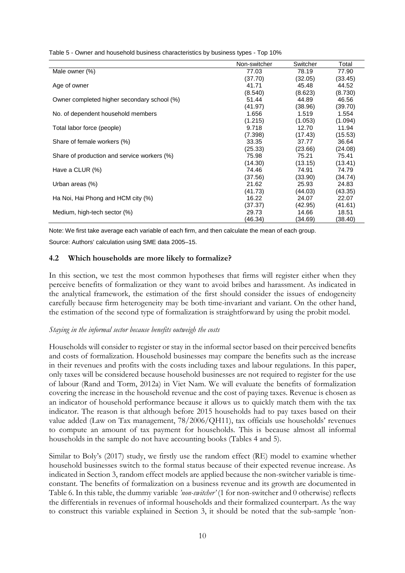|                                             | Non-switcher | Switcher | Total   |
|---------------------------------------------|--------------|----------|---------|
| Male owner (%)                              | 77.03        | 78.19    | 77.90   |
|                                             | (37.70)      | (32.05)  | (33.45) |
| Age of owner                                | 41.71        | 45.48    | 44.52   |
|                                             | (8.540)      | (8.623)  | (8.730) |
| Owner completed higher secondary school (%) | 51.44        | 44.89    | 46.56   |
|                                             | (41.97)      | (38.96)  | (39.70) |
| No. of dependent household members          | 1.656        | 1.519    | 1.554   |
|                                             | (1.215)      | (1.053)  | (1.094) |
| Total labor force (people)                  | 9.718        | 12.70    | 11.94   |
|                                             | (7.398)      | (17.43)  | (15.53) |
| Share of female workers (%)                 | 33.35        | 37.77    | 36.64   |
|                                             | (25.33)      | (23.66)  | (24.08) |
| Share of production and service workers (%) | 75.98        | 75.21    | 75.41   |
|                                             | (14.30)      | (13.15)  | (13.41) |
| Have a CLUR (%)                             | 74.46        | 74.91    | 74.79   |
|                                             | (37.56)      | (33.90)  | (34.74) |
| Urban areas (%)                             | 21.62        | 25.93    | 24.83   |
|                                             | (41.73)      | (44.03)  | (43.35) |
| Ha Noi, Hai Phong and HCM city (%)          | 16.22        | 24.07    | 22.07   |
|                                             | (37.37)      | (42.95)  | (41.61) |
| Medium, high-tech sector (%)                | 29.73        | 14.66    | 18.51   |
|                                             | (46.34)      | (34.69)  | (38.40) |

Table 5 - Owner and household business characteristics by business types - Top 10%

Note: We first take average each variable of each firm, and then calculate the mean of each group.

Source: Authors' calculation using SME data 2005–15.

## **4.2 Which households are more likely to formalize?**

In this section, we test the most common hypotheses that firms will register either when they perceive benefits of formalization or they want to avoid bribes and harassment. As indicated in the analytical framework, the estimation of the first should consider the issues of endogeneity carefully because firm heterogeneity may be both time-invariant and variant. On the other hand, the estimation of the second type of formalization is straightforward by using the probit model.

## *Staying in the informal sector because benefits outweigh the costs*

Households will consider to register or stay in the informal sector based on their perceived benefits and costs of formalization. Household businesses may compare the benefits such as the increase in their revenues and profits with the costs including taxes and labour regulations. In this paper, only taxes will be considered because household businesses are not required to register for the use of labour (Rand and Torm, 2012a) in Viet Nam. We will evaluate the benefits of formalization covering the increase in the household revenue and the cost of paying taxes. Revenue is chosen as an indicator of household performance because it allows us to quickly match them with the tax indicator. The reason is that although before 2015 households had to pay taxes based on their value added (Law on Tax management, 78/2006/QH11), tax officials use households' revenues to compute an amount of tax payment for households. This is because almost all informal households in the sample do not have accounting books (Tables 4 and 5).

Similar to Boly's (2017) study, we firstly use the random effect (RE) model to examine whether household businesses switch to the formal status because of their expected revenue increase. As indicated in Section 3, random effect models are applied because the non-switcher variable is timeconstant. The benefits of formalization on a business revenue and its growth are documented in Table 6. In this table, the dummy variable *'non-switcher'* (1 for non-switcher and 0 otherwise) reflects the differentials in revenues of informal households and their formalized counterpart. As the way to construct this variable explained in Section 3, it should be noted that the sub-sample 'non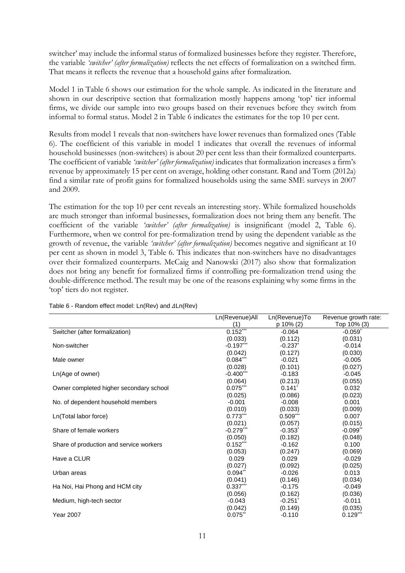switcher' may include the informal status of formalized businesses before they register. Therefore, the variable *'switcher' (after formalization)* reflects the net effects of formalization on a switched firm. That means it reflects the revenue that a household gains after formalization.

Model 1 in Table 6 shows our estimation for the whole sample. As indicated in the literature and shown in our descriptive section that formalization mostly happens among 'top' tier informal firms, we divide our sample into two groups based on their revenues before they switch from informal to formal status. Model 2 in Table 6 indicates the estimates for the top 10 per cent.

Results from model 1 reveals that non-switchers have lower revenues than formalized ones (Table 6). The coefficient of this variable in model 1 indicates that overall the revenues of informal household businesses (non-switchers) is about 20 per cent less than their formalized counterparts. The coefficient of variable *'switcher' (after formalization)* indicates that formalization increases a firm's revenue by approximately 15 per cent on average, holding other constant. Rand and Torm (2012a) find a similar rate of profit gains for formalized households using the same SME surveys in 2007 and 2009.

The estimation for the top 10 per cent reveals an interesting story. While formalized households are much stronger than informal businesses, formalization does not bring them any benefit. The coefficient of the variable *'switcher' (after formalization)* is insignificant (model 2, Table 6). Furthermore, when we control for pre-formalization trend by using the dependent variable as the growth of revenue, the variable *'switcher' (after formalization)* becomes negative and significant at 10 per cent as shown in model 3, Table 6. This indicates that non-switchers have no disadvantages over their formalized counterparts. McCaig and Nanowski (2017) also show that formalization does not bring any benefit for formalized firms if controlling pre-formalization trend using the double-difference method. The result may be one of the reasons explaining why some firms in the 'top' tiers do not register.

|                                         | Ln(Revenue)All        | Ln(Revenue)To         | Revenue growth rate:   |
|-----------------------------------------|-----------------------|-----------------------|------------------------|
|                                         | (1)                   | p 10% (2)             | Top 10% (3)            |
| Switcher (after formalization)          | $0.152***$            | $-0.064$              | $-0.059$ <sup>*</sup>  |
|                                         | (0.033)               | (0.112)               | (0.031)                |
| Non-switcher                            | $-0.197***$           | $-0.237$              | $-0.014$               |
|                                         | (0.042)               | (0.127)               | (0.030)                |
| Male owner                              | $0.084***$            | $-0.021$              | $-0.005$               |
|                                         | (0.028)               | (0.101)               | (0.027)                |
| Ln(Age of owner)                        | $-0.400$ ***          | $-0.183$              | $-0.045$               |
|                                         | (0.064)               | (0.213)               | (0.055)                |
| Owner completed higher secondary school | $0.075***$            | $0.141$ <sup>*</sup>  | 0.032                  |
|                                         | (0.025)               | (0.086)               | (0.023)                |
| No. of dependent household members      | $-0.001$              | $-0.008$              | 0.001                  |
|                                         | (0.010)               | (0.033)               | (0.009)                |
| Ln(Total labor force)                   | $0.773***$            | $0.509$ ***           | 0.007                  |
|                                         | (0.021)               | (0.057)               | (0.015)                |
| Share of female workers                 | $-0.279***$           | $-0.353$ <sup>*</sup> | $-0.099$ <sup>**</sup> |
|                                         | (0.050)               | (0.182)               | (0.048)                |
| Share of production and service workers | $0.152***$            | $-0.162$              | 0.100                  |
|                                         | (0.053)               | (0.247)               | (0.069)                |
| Have a CLUR                             | 0.029                 | 0.029                 | $-0.029$               |
|                                         | (0.027)               | (0.092)               | (0.025)                |
| Urban areas                             | $0.094$ <sup>**</sup> | $-0.026$              | 0.013                  |
|                                         | (0.041)               | (0.146)               | (0.034)                |
| Ha Noi, Hai Phong and HCM city          | $0.337***$            | $-0.175$              | $-0.049$               |
|                                         | (0.056)               | (0.162)               | (0.036)                |
| Medium, high-tech sector                | $-0.043$              | $-0.251$ <sup>*</sup> | $-0.011$               |
|                                         | (0.042)               | (0.149)               | (0.035)                |
| <b>Year 2007</b>                        | $0.075$ **            | $-0.110$              | $0.129***$             |

#### Table  $6$  - Random effect model:  $Ln(Rev)$  and  $ΔLn(Rev)$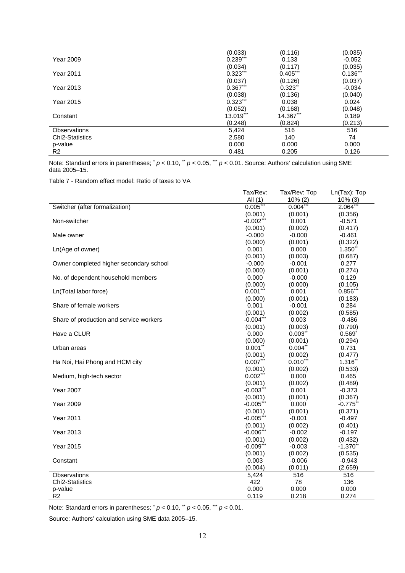|                        | (0.033)     | (0.116)               | (0.035)    |
|------------------------|-------------|-----------------------|------------|
| <b>Year 2009</b>       | $0.239***$  | 0.133                 | $-0.052$   |
|                        | (0.034)     | (0.117)               | (0.035)    |
| Year 2011              | $0.323$ *** | $0.405$ ***           | $0.136***$ |
|                        | (0.037)     | (0.126)               | (0.037)    |
| Year 2013              | $0.367***$  | $0.323$ <sup>**</sup> | $-0.034$   |
|                        | (0.038)     | (0.136)               | (0.040)    |
| Year 2015              | $0.323***$  | 0.038                 | 0.024      |
|                        | (0.052)     | (0.168)               | (0.048)    |
| Constant               | 13.019***   | 14.367***             | 0.189      |
|                        | (0.248)     | (0.824)               | (0.213)    |
| <b>Observations</b>    | 5,424       | 516                   | 516        |
| <b>Chi2-Statistics</b> | 2,580       | 140                   | 74         |
| p-value                | 0.000       | 0.000                 | 0.000      |
| R2                     | 0.481       | 0.205                 | 0.126      |

Note: Standard errors in parentheses; \* *p* < 0.10, \* *p* < 0.05, \*\* *p* < 0.01. Source: Authors' calculation using SME data 2005–15.

Table 7 - Random effect model: Ratio of taxes to VA

|                                         | Tax/Rev:     | Tax/Rev: Top | Ln(Tax): Top   |
|-----------------------------------------|--------------|--------------|----------------|
|                                         | All $(1)$    | 10% (2)      | $10\%$ (3)     |
| Switcher (after formalization)          | $0.005***$   | $0.004***$   | $2.064***$     |
|                                         | (0.001)      | (0.001)      | (0.356)        |
| Non-switcher                            | $-0.002***$  | 0.001        | $-0.571$       |
|                                         | (0.001)      | (0.002)      | (0.417)        |
| Male owner                              | $-0.000$     | $-0.000$     | $-0.461$       |
|                                         | (0.000)      | (0.001)      | (0.322)        |
| Ln(Age of owner)                        | 0.001        | 0.000        | 1.350**        |
|                                         | (0.001)      | (0.003)      | (0.687)        |
| Owner completed higher secondary school | $-0.000$     | $-0.001$     | 0.277          |
|                                         | (0.000)      | (0.001)      | (0.274)        |
| No. of dependent household members      | 0.000        | $-0.000$     | 0.129          |
|                                         | (0.000)      | (0.000)      | (0.105)        |
| Ln(Total labor force)                   | $0.001***$   | 0.001        | 0.856"         |
|                                         | (0.000)      | (0.001)      | (0.183)        |
| Share of female workers                 | 0.001        | $-0.001$     | 0.284          |
|                                         | (0.001)      | (0.002)      | (0.585)        |
| Share of production and service workers | $-0.004$ *** | 0.003        | $-0.486$       |
|                                         | (0.001)      | (0.003)      | (0.790)        |
| Have a CLUR                             | 0.000        | 0.003        | $0.569^{*}$    |
|                                         | (0.000)      | (0.001)      | (0.294)        |
| Urban areas                             | 0.001        | $0.004$ **   | 0.731          |
|                                         | (0.001)      | (0.002)      | (0.477)        |
| Ha Noi, Hai Phong and HCM city          | $0.007***$   | $0.010$ **   | 1.316**        |
|                                         | (0.001)      | (0.002)      | (0.533)        |
| Medium, high-tech sector                | $0.002^*$    | 0.000        | 0.465          |
|                                         | (0.001)      | (0.002)      | (0.489)        |
| <b>Year 2007</b>                        | $-0.003$ *** | 0.001        | $-0.373$       |
|                                         | (0.001)      | (0.001)      | (0.367)        |
| <b>Year 2009</b>                        | $-0.005$ *** | 0.000        | $-0.775$       |
|                                         | (0.001)      | (0.001)      | (0.371)        |
| <b>Year 2011</b>                        | $-0.005$ **  | $-0.001$     | $-0.497$       |
|                                         | (0.001)      | (0.002)      | (0.401)        |
| <b>Year 2013</b>                        | $-0.006$ **  | $-0.002$     | $-0.197$       |
|                                         | (0.001)      | (0.002)      | (0.432)        |
| <b>Year 2015</b>                        | $-0.009***$  | $-0.003$     | $-1.370$ **    |
|                                         | (0.001)      | (0.002)      | (0.535)        |
| Constant                                | 0.003        | $-0.006$     | $-0.943$       |
|                                         | (0.004)      | (0.011)      | (2.659)        |
| <b>Observations</b>                     | 5,424<br>422 | 516          | 516            |
| Chi2-Statistics                         | 0.000        | 78<br>0.000  | 136            |
| p-value<br>R2                           | 0.119        | 0.218        | 0.000<br>0.274 |
|                                         |              |              |                |

Note: Standard errors in parentheses; \* *p* < 0.10, \*\* *p* < 0.05, \*\*\* *p* < 0.01.

Source: Authors' calculation using SME data 2005–15.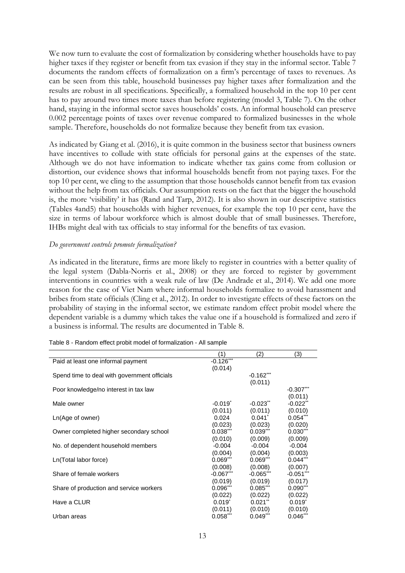We now turn to evaluate the cost of formalization by considering whether households have to pay higher taxes if they register or benefit from tax evasion if they stay in the informal sector. Table 7 documents the random effects of formalization on a firm's percentage of taxes to revenues. As can be seen from this table, household businesses pay higher taxes after formalization and the results are robust in all specifications. Specifically, a formalized household in the top 10 per cent has to pay around two times more taxes than before registering (model 3, Table 7). On the other hand, staying in the informal sector saves households' costs. An informal household can preserve 0.002 percentage points of taxes over revenue compared to formalized businesses in the whole sample. Therefore, households do not formalize because they benefit from tax evasion.

As indicated by Giang et al. (2016), it is quite common in the business sector that business owners have incentives to collude with state officials for personal gains at the expenses of the state. Although we do not have information to indicate whether tax gains come from collusion or distortion, our evidence shows that informal households benefit from not paying taxes. For the top 10 per cent, we cling to the assumption that those households cannot benefit from tax evasion without the help from tax officials. Our assumption rests on the fact that the bigger the household is, the more 'visibility' it has (Rand and Tarp, 2012). It is also shown in our descriptive statistics (Tables 4and5) that households with higher revenues, for example the top 10 per cent, have the size in terms of labour workforce which is almost double that of small businesses. Therefore, IHBs might deal with tax officials to stay informal for the benefits of tax evasion.

### *Do government controls promote formalization?*

As indicated in the literature, firms are more likely to register in countries with a better quality of the legal system (Dabla-Norris et al., 2008) or they are forced to register by government interventions in countries with a weak rule of law (De Andrade et al., 2014). We add one more reason for the case of Viet Nam where informal households formalize to avoid harassment and bribes from state officials (Cling et al., 2012). In order to investigate effects of these factors on the probability of staying in the informal sector, we estimate random effect probit model where the dependent variable is a dummy which takes the value one if a household is formalized and zero if a business is informal. The results are documented in Table 8.

|                                              | (1)         | (2)                       | (3)                    |
|----------------------------------------------|-------------|---------------------------|------------------------|
| Paid at least one informal payment           | $-0.126***$ |                           |                        |
|                                              | (0.014)     |                           |                        |
| Spend time to deal with government officials |             | $-0.162***$               |                        |
|                                              |             | (0.011)                   |                        |
| Poor knowledge/no interest in tax law        |             |                           | $-0.307***$            |
|                                              |             |                           | (0.011)                |
| Male owner                                   | $-0.019^*$  | $-0.023$ <sup>**</sup>    | $-0.022$ <sup>**</sup> |
|                                              | (0.011)     | (0.011)                   | (0.010)                |
| Ln(Age of owner)                             | 0.024       | $0.041$ <sup>*</sup>      | $0.054***$             |
|                                              | (0.023)     | (0.023)                   | (0.020)                |
| Owner completed higher secondary school      | $0.038***$  | $0.039***$                | $0.030***$             |
|                                              | (0.010)     | (0.009)                   | (0.009)                |
| No. of dependent household members           | $-0.004$    | $-0.004$                  | $-0.004$               |
|                                              | (0.004)     | (0.004)                   | (0.003)                |
| Ln(Total labor force)                        | $0.069***$  | $0.069$ $\cdot\cdot\cdot$ | $0.044$ ***            |
|                                              | (0.008)     | (0.008)                   | (0.007)                |
| Share of female workers                      | $-0.067***$ | $-0.065$                  | $-0.051***$            |
|                                              | (0.019)     | (0.019)                   | (0.017)                |
| Share of production and service workers      | $0.096***$  | 0.085                     | $0.090***$             |
|                                              | (0.022)     | (0.022)                   | (0.022)                |
| Have a CLUR                                  | $0.019^{*}$ | $0.021$ <sup>**</sup>     | $0.019$ <sup>*</sup>   |
|                                              | (0.011)     | (0.010)                   | (0.010)                |
| Urban areas                                  | $0.058***$  | $0.049$ <sup>***</sup>    | $0.046$ **             |
|                                              |             |                           |                        |

Table 8 - Random effect probit model of formalization - All sample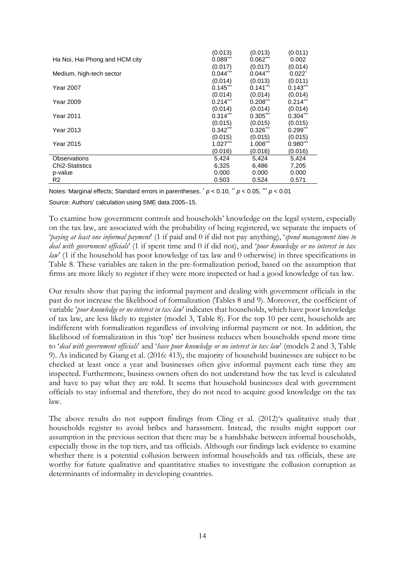|                                | (0.013)     | (0.013)                | (0.011)     |
|--------------------------------|-------------|------------------------|-------------|
| Ha Noi, Hai Phong and HCM city | $0.089***$  | $0.062***$             | 0.002       |
|                                | (0.017)     | (0.017)                | (0.014)     |
| Medium, high-tech sector       | $0.044***$  | $0.044$ <sup>***</sup> | $0.022^*$   |
|                                | (0.014)     | (0.013)                | (0.011)     |
| <b>Year 2007</b>               | $0.145***$  | $0.141$ <sup>***</sup> | $0.143***$  |
|                                | (0.014)     | (0.014)                | (0.014)     |
| <b>Year 2009</b>               | $0.214***$  | $0.208$ ***            | $0.214***$  |
|                                | (0.014)     | (0.014)                | (0.014)     |
| <b>Year 2011</b>               | $0.314$ *** | $0.305$ <sup>***</sup> | $0.304***$  |
|                                | (0.015)     | (0.015)                | (0.015)     |
| <b>Year 2013</b>               | $0.342***$  | $0.326$ <sup>***</sup> | $0.299***$  |
|                                | (0.015)     | (0.015)                | (0.015)     |
| <b>Year 2015</b>               | $1.027***$  | $1.008$ ***            | $0.980$ *** |
|                                | (0.016)     | (0.016)                | (0.016)     |
| <b>Observations</b>            | 5,424       | 5,424                  | 5,424       |
| Chi <sub>2</sub> -Statistics   | 6,325       | 6,486                  | 7,205       |
| p-value                        | 0.000       | 0.000                  | 0.000       |
| R <sub>2</sub>                 | 0.503       | 0.524                  | 0.571       |

Notes: Marginal effects; Standard errors in parentheses. \* *p* < 0.10, \*\* *p* < 0.05, \*\*\* *p* < 0.01

Source: Authors' calculation using SME data 2005–15.

To examine how government controls and households' knowledge on the legal system, especially on the tax law, are associated with the probability of being registered, we separate the impacts of '*paying at least one informal payment*' (1 if paid and 0 if did not pay anything), '*spend management time to deal with government officials*' (1 if spent time and 0 if did not), and '*poor knowledge or no interest in tax law*' (1 if the household has poor knowledge of tax law and 0 otherwise) in three specifications in Table 8. These variables are taken in the pre-formalization period, based on the assumption that firms are more likely to register if they were more inspected or had a good knowledge of tax law.

Our results show that paying the informal payment and dealing with government officials in the past do not increase the likelihood of formalization (Tables 8 and 9). Moreover, the coefficient of variable '*poor knowledge or no interest in tax law*' indicates that households, which have poor knowledge of tax law, are less likely to register (model 3, Table 8). For the top 10 per cent, households are indifferent with formalization regardless of involving informal payment or not. In addition, the likelihood of formalization in this 'top' tier business reduces when households spend more time to '*deal with government officials*' and '*have poor knowledge or no interest in tax law*' (models 2 and 3, Table 9). As indicated by Giang et al. (2016: 413), the majority of household businesses are subject to be checked at least once a year and businesses often give informal payment each time they are inspected. Furthermore, business owners often do not understand how the tax level is calculated and have to pay what they are told. It seems that household businesses deal with government officials to stay informal and therefore, they do not need to acquire good knowledge on the tax law.

The above results do not support findings from Cling et al. (2012)'s qualitative study that households register to avoid bribes and harassment. Instead, the results might support our assumption in the previous section that there may be a handshake between informal households, especially those in the top tiers, and tax officials. Although our findings lack evidence to examine whether there is a potential collusion between informal households and tax officials, these are worthy for future qualitative and quantitative studies to investigate the collusion corruption as determinants of informality in developing countries.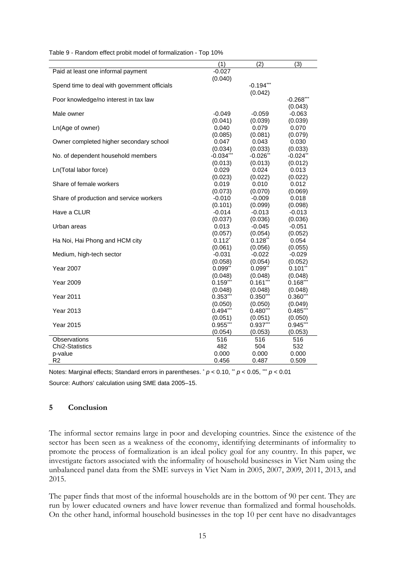|                                              | (1)                   | (2)                   | (3)                   |
|----------------------------------------------|-----------------------|-----------------------|-----------------------|
| Paid at least one informal payment           | $-0.027$              |                       |                       |
|                                              | (0.040)               |                       |                       |
| Spend time to deal with government officials |                       | $-0.194$ ***          |                       |
|                                              |                       | (0.042)               |                       |
| Poor knowledge/no interest in tax law        |                       |                       | $-0.268$ **           |
|                                              |                       |                       | (0.043)               |
| Male owner                                   | $-0.049$              | $-0.059$              | $-0.063$              |
|                                              | (0.041)               | (0.039)               | (0.039)               |
| Ln(Age of owner)                             | 0.040                 | 0.079                 | 0.070                 |
|                                              | (0.085)               | (0.081)               | (0.079)               |
| Owner completed higher secondary school      | 0.047                 | 0.043                 | 0.030                 |
|                                              | (0.034)               | (0.033)               | (0.033)               |
| No. of dependent household members           | $-0.034***$           | $-0.026$ <sup>*</sup> | $-0.024"$             |
|                                              | (0.013)               | (0.013)               | (0.012)               |
| Ln(Total labor force)                        | 0.029                 | 0.024                 | 0.013                 |
|                                              | (0.023)               | (0.022)               | (0.022)               |
| Share of female workers                      | 0.019                 | 0.010                 | 0.012                 |
|                                              | (0.073)               | (0.070)               | (0.069)               |
| Share of production and service workers      | $-0.010$              | $-0.009$              | 0.018                 |
|                                              | (0.101)               | (0.099)               | (0.098)               |
| Have a CLUR                                  | $-0.014$              | $-0.013$              | $-0.013$              |
|                                              | (0.037)               | (0.036)               | (0.036)               |
| Urban areas                                  | 0.013                 | $-0.045$              | $-0.051$              |
|                                              | (0.057)               | (0.054)               | (0.052)               |
| Ha Noi, Hai Phong and HCM city               | $0.112^{*}$           | $0.128$ **            | 0.054                 |
|                                              | (0.061)               | (0.056)               | (0.055)               |
| Medium, high-tech sector                     | $-0.031$              | $-0.022$              | $-0.029$              |
|                                              | (0.058)               | (0.054)               | (0.052)               |
| Year 2007                                    | $0.099$ <sup>**</sup> | 0.099"                | $0.101$ <sup>**</sup> |
|                                              | (0.048)               | (0.048)               | (0.048)               |
| <b>Year 2009</b>                             | $0.159***$            | $0.161***$            | 0.168"                |
|                                              | (0.048)               | (0.048)               | (0.048)               |
| <b>Year 2011</b>                             | $0.353***$            | $0.350***$            | $0.360$ <sup>**</sup> |
|                                              | (0.050)               | (0.050)               | (0.049)               |
| <b>Year 2013</b>                             | $0.494***$            | $0.480**$             | $0.485$ <sup>*</sup>  |
|                                              | (0.051)               | (0.051)               | (0.050)               |
| <b>Year 2015</b>                             | $0.955$ <sup>*</sup>  | $0.937$ <sup>*</sup>  | $0.945$ <sup>*</sup>  |
|                                              | (0.054)               | (0.053)               | (0.053)               |
| Observations                                 | 516                   | 516                   | 516                   |
| Chi <sub>2</sub> -Statistics                 | 482                   | 504                   | 532                   |
| p-value                                      | 0.000                 | 0.000                 | 0.000                 |
| R <sub>2</sub>                               | 0.456                 | 0.487                 | 0.509                 |

Table 9 - Random effect probit model of formalization - Top 10%

Notes: Marginal effects; Standard errors in parentheses.  $\dot{p}$  < 0.10,  $\dot{p}$  < 0.05,  $\dot{m}$   $p$  < 0.01 Source: Authors' calculation using SME data 2005–15.

#### **5 Conclusion**

The informal sector remains large in poor and developing countries. Since the existence of the sector has been seen as a weakness of the economy, identifying determinants of informality to promote the process of formalization is an ideal policy goal for any country. In this paper, we investigate factors associated with the informality of household businesses in Viet Nam using the unbalanced panel data from the SME surveys in Viet Nam in 2005, 2007, 2009, 2011, 2013, and 2015.

The paper finds that most of the informal households are in the bottom of 90 per cent. They are run by lower educated owners and have lower revenue than formalized and formal households. On the other hand, informal household businesses in the top 10 per cent have no disadvantages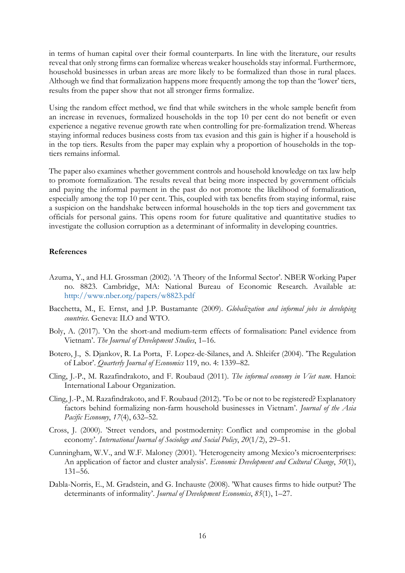in terms of human capital over their formal counterparts. In line with the literature, our results reveal that only strong firms can formalize whereas weaker households stay informal. Furthermore, household businesses in urban areas are more likely to be formalized than those in rural places. Although we find that formalization happens more frequently among the top than the 'lower' tiers, results from the paper show that not all stronger firms formalize.

Using the random effect method, we find that while switchers in the whole sample benefit from an increase in revenues, formalized households in the top 10 per cent do not benefit or even experience a negative revenue growth rate when controlling for pre-formalization trend. Whereas staying informal reduces business costs from tax evasion and this gain is higher if a household is in the top tiers. Results from the paper may explain why a proportion of households in the toptiers remains informal.

The paper also examines whether government controls and household knowledge on tax law help to promote formalization. The results reveal that being more inspected by government officials and paying the informal payment in the past do not promote the likelihood of formalization, especially among the top 10 per cent. This, coupled with tax benefits from staying informal, raise a suspicion on the handshake between informal households in the top tiers and government tax officials for personal gains. This opens room for future qualitative and quantitative studies to investigate the collusion corruption as a determinant of informality in developing countries.

#### **References**

- Azuma, Y., and H.I. Grossman (2002). 'A Theory of the Informal Sector'. NBER Working Paper no. 8823. Cambridge, MA: National Bureau of Economic Research. Available at: http://www.nber.org/papers/w8823.pdf
- Bacchetta, M., E. Ernst, and J.P. Bustamante (2009). *Globalization and informal jobs in developing countries*. Geneva: ILO and WTO.
- Boly, A. (2017). 'On the short-and medium-term effects of formalisation: Panel evidence from Vietnam'. *The Journal of Development Studies*, 1–16.
- Botero, J., S. Djankov, R. La Porta, F. Lopez-de-Silanes, and A. Shleifer (2004). 'The Regulation of Labor'. *Quarterly Journal of Economics* 119, no. 4: 1339–82.
- Cling, J.-P., M. Razafindrakoto, and F. Roubaud (2011). *The informal economy in Viet nam*. Hanoi: International Labour Organization.
- Cling, J.-P., M. Razafindrakoto, and F. Roubaud (2012). 'To be or not to be registered? Explanatory factors behind formalizing non-farm household businesses in Vietnam'. *Journal of the Asia Pacific Economy*, *17*(4), 632–52.
- Cross, J. (2000). 'Street vendors, and postmodernity: Conflict and compromise in the global economy'. *International Journal of Sociology and Social Policy*, *20*(1/2), 29–51.
- Cunningham, W.V., and W.F. Maloney (2001). 'Heterogeneity among Mexico's microenterprises: An application of factor and cluster analysis'. *Economic Development and Cultural Change*, *50*(1), 131–56.
- Dabla-Norris, E., M. Gradstein, and G. Inchauste (2008). 'What causes firms to hide output? The determinants of informality'. *Journal of Development Economics*, *85*(1), 1–27.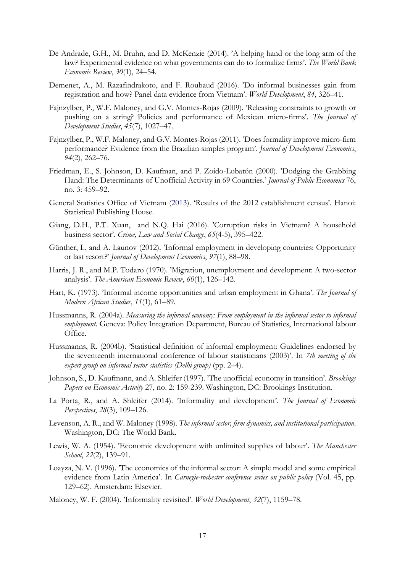- De Andrade, G.H., M. Bruhn, and D. McKenzie (2014). 'A helping hand or the long arm of the law? Experimental evidence on what governments can do to formalize firms'. *The World Bank Economic Review*, *30*(1), 24–54.
- Demenet, A., M. Razafindrakoto, and F. Roubaud (2016). 'Do informal businesses gain from registration and how? Panel data evidence from Vietnam'. *World Development*, *84*, 326–41.
- Fajnzylber, P., W.F. Maloney, and G.V. Montes-Rojas (2009). 'Releasing constraints to growth or pushing on a string? Policies and performance of Mexican micro-firms'. *The Journal of Development Studies*, *45*(7), 1027–47.
- Fajnzylber, P., W.F. Maloney, and G.V. Montes-Rojas (2011). 'Does formality improve micro-firm performance? Evidence from the Brazilian simples program'. *Journal of Development Economics*, *94*(2), 262–76.
- Friedman, E., S. Johnson, D. Kaufman, and P. Zoido-Lobatón (2000). 'Dodging the Grabbing Hand: The Determinants of Unofficial Activity in 69 Countries.' *Journal of Public Economics* 76, no. 3: 459–92.
- General Statistics Office of Vietnam (2013). 'Results of the 2012 establishment census'. Hanoi: Statistical Publishing House.
- Giang, D.H., P.T. Xuan, and N.Q. Hai (2016). 'Corruption risks in Vietnam? A household business sector'. *Crime, Law and Social Change*, *65*(4-5), 395–422.
- Günther, I., and A. Launov (2012). 'Informal employment in developing countries: Opportunity or last resort?' *Journal of Development Economics*, *97*(1), 88–98.
- Harris, J. R., and M.P. Todaro (1970). 'Migration, unemployment and development: A two-sector analysis'. *The American Economic Review*, *60*(1), 126–142.
- Hart, K. (1973). 'Informal income opportunities and urban employment in Ghana'. *The Journal of Modern African Studies*, *11*(1), 61–89.
- Hussmanns, R. (2004a). *Measuring the informal economy: From employment in the informal sector to informal employment*. Geneva: Policy Integration Department, Bureau of Statistics, International labour Office.
- Hussmanns, R. (2004b). 'Statistical definition of informal employment: Guidelines endorsed by the seventeenth international conference of labour statisticians (2003)'. In *7th meeting of the expert group on informal sector statistics (Delhi group)* (pp. 2–4).
- Johnson, S., D. Kaufmann, and A. Shleifer (1997). 'The unofficial economy in transition'. *Brookings Papers on Economic Activity* 27, no. 2: 159-239. Washington, DC: Brookings Institution.
- La Porta, R., and A. Shleifer (2014). 'Informality and development'. *The Journal of Economic Perspectives*, *28*(3), 109–126.
- Levenson, A. R., and W. Maloney (1998). *The informal sector, firm dynamics, and institutional participation*. Washington, DC: The World Bank.
- Lewis, W. A. (1954). 'Economic development with unlimited supplies of labour'. *The Manchester School*, *22*(2), 139–91.
- Loayza, N. V. (1996). 'The economics of the informal sector: A simple model and some empirical evidence from Latin America'. In *Carnegie-rochester conference series on public policy* (Vol. 45, pp. 129–62). Amsterdam: Elsevier.
- Maloney, W. F. (2004). 'Informality revisited'. *World Development*, *32*(7), 1159–78.